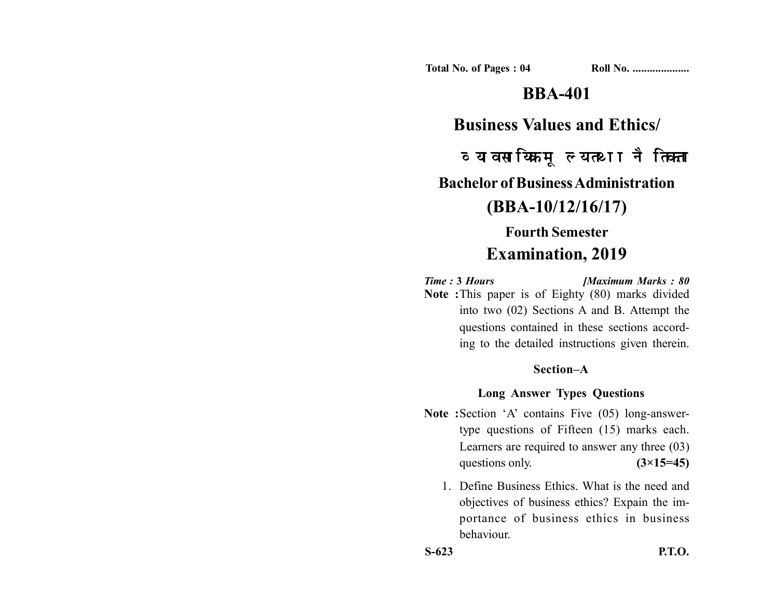**Total No. of Pages : 04 Roll No. ...................** 

# **BBA-401**

## **Business Values and Ethics/**

व्यावसायिक मूल्य तथा नैतिकता **Bachelor of Business Administration (BBA-10/12/16/17) Fourth Semester**

# **Examination, 2019**

*Time :* **3** *Hours [Maximum Marks : 80* **Note :**This paper is of Eighty (80) marks divided into two (02) Sections A and B. Attempt the questions contained in these sections according to the detailed instructions given therein.

#### **Section–A**

### **Long Answer Types Questions**

- **Note :**Section 'A' contains Five (05) long-answertype questions of Fifteen (15) marks each. Learners are required to answer any three (03) questions only.  $(3\times15=45)$ 
	- 1. Define Business Ethics. What is the need and objectives of business ethics? Expain the importance of business ethics in business behaviour.